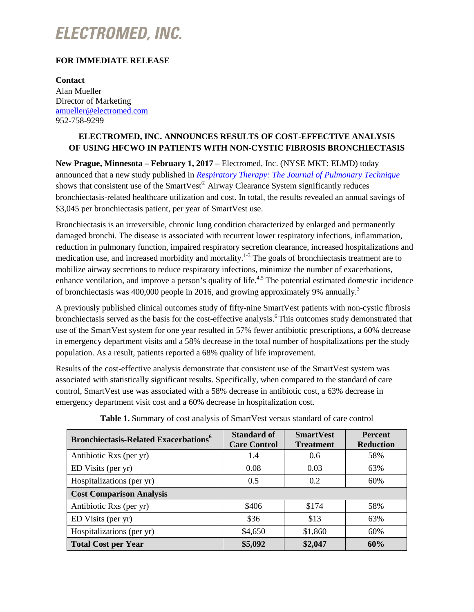# **ELECTROMED, INC.**

### **FOR IMMEDIATE RELEASE**

**Contact** Alan Mueller Director of Marketing [amueller@electromed.com](mailto:amueller@electromed.com) 952-758-9299

## **ELECTROMED, INC. ANNOUNCES RESULTS OF COST-EFFECTIVE ANALYSIS OF USING HFCWO IN PATIENTS WITH NON-CYSTIC FIBROSIS BRONCHIECTASIS**

**New Prague, Minnesota – February 1, 2017** – Electromed, Inc. (NYSE MKT: ELMD) today announced that a new study published in *[Respiratory Therapy: The Journal of Pulmonary Technique](http://www.smartvest.com/wp-content/uploads/2017/01/Cost-Effective-Analysis-of-Using-HFCWO-in-Patients-with-Non-Cystic-Fibrosis-Bronchiectasis.pdf)* shows that consistent use of the SmartVest<sup>®</sup> Airway Clearance System significantly reduces bronchiectasis-related healthcare utilization and cost. In total, the results revealed an annual savings of \$3,045 per bronchiectasis patient, per year of SmartVest use.

Bronchiectasis is an irreversible, chronic lung condition characterized by enlarged and permanently damaged bronchi. The disease is associated with recurrent lower respiratory infections, inflammation, reduction in pulmonary function, impaired respiratory secretion clearance, increased hospitalizations and medication use, and increased morbidity and mortality.<sup>1-3</sup> The goals of bronchiectasis treatment are to mobilize airway secretions to reduce respiratory infections, minimize the number of exacerbations, enhance ventilation, and improve a person's quality of life.<sup>4,5</sup> The potential estimated domestic incidence of bronchiectasis was 400,000 people in 2016, and growing approximately 9% annually.<sup>3</sup>

A previously published clinical outcomes study of fifty-nine SmartVest patients with non-cystic fibrosis bronchiectasis served as the basis for the cost-effective analysis.<sup>6</sup> This outcomes study demonstrated that use of the SmartVest system for one year resulted in 57% fewer antibiotic prescriptions, a 60% decrease in emergency department visits and a 58% decrease in the total number of hospitalizations per the study population. As a result, patients reported a 68% quality of life improvement.

Results of the cost-effective analysis demonstrate that consistent use of the SmartVest system was associated with statistically significant results. Specifically, when compared to the standard of care control, SmartVest use was associated with a 58% decrease in antibiotic cost, a 63% decrease in emergency department visit cost and a 60% decrease in hospitalization cost.

| <b>Bronchiectasis-Related Exacerbations</b> <sup>6</sup> | <b>Standard of</b><br><b>Care Control</b> | <b>SmartVest</b><br><b>Treatment</b> | <b>Percent</b><br><b>Reduction</b> |
|----------------------------------------------------------|-------------------------------------------|--------------------------------------|------------------------------------|
| Antibiotic Rxs (per yr)                                  | 1.4                                       | 0.6                                  | 58%                                |
| ED Visits (per yr)                                       | 0.08                                      | 0.03                                 | 63%                                |
| Hospitalizations (per yr)                                | 0.5                                       | 0.2                                  | 60%                                |
| <b>Cost Comparison Analysis</b>                          |                                           |                                      |                                    |
| Antibiotic Rxs (per yr)                                  | \$406                                     | \$174                                | 58%                                |
| ED Visits (per yr)                                       | \$36                                      | \$13                                 | 63%                                |
| Hospitalizations (per yr)                                | \$4,650                                   | \$1,860                              | 60%                                |
| <b>Total Cost per Year</b>                               | \$5,092                                   | \$2,047                              | 60%                                |

**Table 1.** Summary of cost analysis of SmartVest versus standard of care control